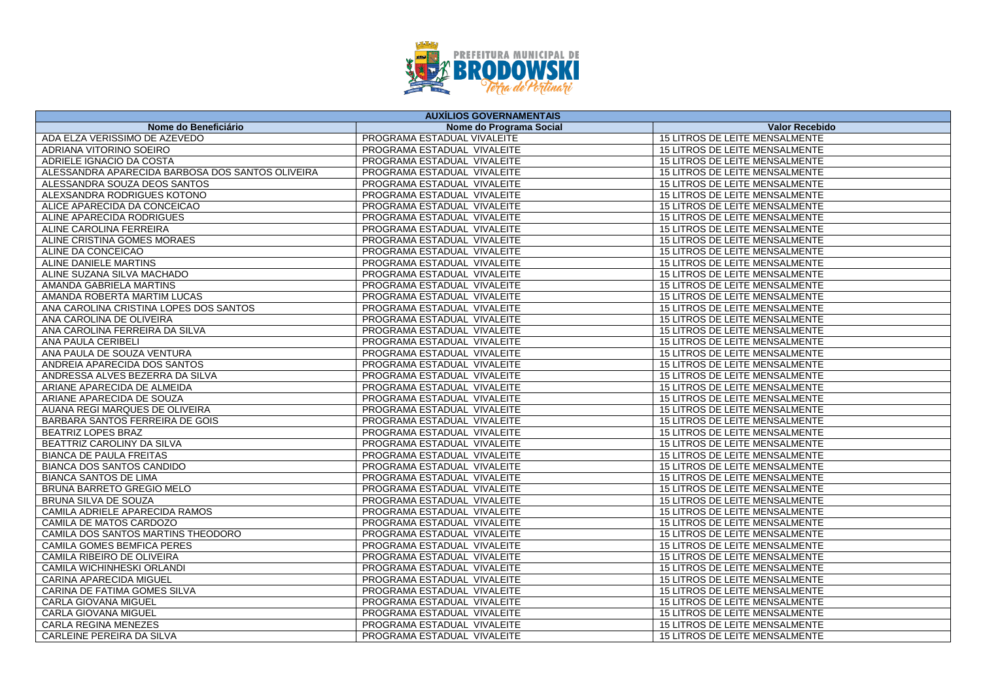

| <b>AUXÍLIOS GOVERNAMENTAIS</b>                   |                             |                                       |
|--------------------------------------------------|-----------------------------|---------------------------------------|
| Nome do Beneficiário                             | Nome do Programa Social     | <b>Valor Recebido</b>                 |
| ADA ELZA VERISSIMO DE AZEVEDO                    | PROGRAMA ESTADUAL VIVALEITE | 15 LITROS DE LEITE MENSALMENTE        |
| ADRIANA VITORINO SOEIRO                          | PROGRAMA ESTADUAL VIVALEITE | 15 LITROS DE LEITE MENSALMENTE        |
| ADRIELE IGNACIO DA COSTA                         | PROGRAMA ESTADUAL VIVALEITE | 15 LITROS DE LEITE MENSALMENTE        |
| ALESSANDRA APARECIDA BARBOSA DOS SANTOS OLIVEIRA | PROGRAMA ESTADUAL VIVALEITE | 15 LITROS DE LEITE MENSALMENTE        |
| ALESSANDRA SOUZA DEOS SANTOS                     | PROGRAMA ESTADUAL VIVALEITE | 15 LITROS DE LEITE MENSALMENTE        |
| ALEXSANDRA RODRIGUES KOTONO                      | PROGRAMA ESTADUAL VIVALEITE | 15 LITROS DE LEITE MENSALMENTE        |
| ALICE APARECIDA DA CONCEICAO                     | PROGRAMA ESTADUAL VIVALEITE | <b>15 LITROS DE LEITE MENSALMENTE</b> |
| ALINE APARECIDA RODRIGUES                        | PROGRAMA ESTADUAL VIVALEITE | 15 LITROS DE LEITE MENSALMENTE        |
| ALINE CAROLINA FERREIRA                          | PROGRAMA ESTADUAL VIVALEITE | 15 LITROS DE LEITE MENSALMENTE        |
| ALINE CRISTINA GOMES MORAES                      | PROGRAMA ESTADUAL VIVALEITE | 15 LITROS DE LEITE MENSALMENTE        |
| ALINE DA CONCEICAO                               | PROGRAMA ESTADUAL VIVALEITE | 15 LITROS DE LEITE MENSALMENTE        |
| ALINE DANIELE MARTINS                            | PROGRAMA ESTADUAL VIVALEITE | <b>15 LITROS DE LEITE MENSALMENTE</b> |
| ALINE SUZANA SILVA MACHADO                       | PROGRAMA ESTADUAL VIVALEITE | 15 LITROS DE LEITE MENSALMENTE        |
| AMANDA GABRIELA MARTINS                          | PROGRAMA ESTADUAL VIVALEITE | 15 LITROS DE LEITE MENSALMENTE        |
| AMANDA ROBERTA MARTIM LUCAS                      | PROGRAMA ESTADUAL VIVALEITE | 15 LITROS DE LEITE MENSALMENTE        |
| ANA CAROLINA CRISTINA LOPES DOS SANTOS           | PROGRAMA ESTADUAL VIVALEITE | 15 LITROS DE LEITE MENSALMENTE        |
| ANA CAROLINA DE OLIVEIRA                         | PROGRAMA ESTADUAL VIVALEITE | 15 LITROS DE LEITE MENSALMENTE        |
| ANA CAROLINA FERREIRA DA SILVA                   | PROGRAMA ESTADUAL VIVALEITE | 15 LITROS DE LEITE MENSALMENTE        |
| ANA PAULA CERIBELI                               | PROGRAMA ESTADUAL VIVALEITE | 15 LITROS DE LEITE MENSALMENTE        |
| ANA PAULA DE SOUZA VENTURA                       | PROGRAMA ESTADUAL VIVALEITE | 15 LITROS DE LEITE MENSALMENTE        |
| ANDREIA APARECIDA DOS SANTOS                     | PROGRAMA ESTADUAL VIVALEITE | 15 LITROS DE LEITE MENSALMENTE        |
| ANDRESSA ALVES BEZERRA DA SILVA                  | PROGRAMA ESTADUAL VIVALEITE | 15 LITROS DE LEITE MENSALMENTE        |
| ARIANE APARECIDA DE ALMEIDA                      | PROGRAMA ESTADUAL VIVALEITE | 15 LITROS DE LEITE MENSALMENTE        |
| ARIANE APARECIDA DE SOUZA                        | PROGRAMA ESTADUAL VIVALEITE | 15 LITROS DE LEITE MENSALMENTE        |
| AUANA REGI MARQUES DE OLIVEIRA                   | PROGRAMA ESTADUAL VIVALEITE | 15 LITROS DE LEITE MENSALMENTE        |
| BARBARA SANTOS FERREIRA DE GOIS                  | PROGRAMA ESTADUAL VIVALEITE | 15 LITROS DE LEITE MENSALMENTE        |
| <b>BEATRIZ LOPES BRAZ</b>                        | PROGRAMA ESTADUAL VIVALEITE | 15 LITROS DE LEITE MENSALMENTE        |
| BEATTRIZ CAROLINY DA SILVA                       | PROGRAMA ESTADUAL VIVALEITE | 15 LITROS DE LEITE MENSALMENTE        |
| <b>BIANCA DE PAULA FREITAS</b>                   | PROGRAMA ESTADUAL VIVALEITE | 15 LITROS DE LEITE MENSALMENTE        |
| <b>BIANCA DOS SANTOS CANDIDO</b>                 | PROGRAMA ESTADUAL VIVALEITE | 15 LITROS DE LEITE MENSALMENTE        |
| <b>BIANCA SANTOS DE LIMA</b>                     | PROGRAMA ESTADUAL VIVALEITE | 15 LITROS DE LEITE MENSALMENTE        |
| BRUNA BARRETO GREGIO MELO                        | PROGRAMA ESTADUAL VIVALEITE | 15 LITROS DE LEITE MENSALMENTE        |
| <b>BRUNA SILVA DE SOUZA</b>                      | PROGRAMA ESTADUAL VIVALEITE | <b>15 LITROS DE LEITE MENSALMENTE</b> |
| CAMILA ADRIELE APARECIDA RAMOS                   | PROGRAMA ESTADUAL VIVALEITE | 15 LITROS DE LEITE MENSALMENTE        |
| CAMILA DE MATOS CARDOZO                          | PROGRAMA ESTADUAL VIVALEITE | 15 LITROS DE LEITE MENSALMENTE        |
| CAMILA DOS SANTOS MARTINS THEODORO               | PROGRAMA ESTADUAL VIVALEITE | 15 LITROS DE LEITE MENSALMENTE        |
| CAMILA GOMES BEMFICA PERES                       | PROGRAMA ESTADUAL VIVALEITE | 15 LITROS DE LEITE MENSALMENTE        |
| CAMILA RIBEIRO DE OLIVEIRA                       | PROGRAMA ESTADUAL VIVALEITE | 15 LITROS DE LEITE MENSALMENTE        |
| CAMILA WICHINHESKI ORLANDI                       | PROGRAMA ESTADUAL VIVALEITE | 15 LITROS DE LEITE MENSALMENTE        |
| CARINA APARECIDA MIGUEL                          | PROGRAMA ESTADUAL VIVALEITE | 15 LITROS DE LEITE MENSALMENTE        |
| CARINA DE FATIMA GOMES SILVA                     | PROGRAMA ESTADUAL VIVALEITE | 15 LITROS DE LEITE MENSALMENTE        |
| <b>CARLA GIOVANA MIGUEL</b>                      | PROGRAMA ESTADUAL VIVALEITE | 15 LITROS DE LEITE MENSALMENTE        |
| <b>CARLA GIOVANA MIGUEL</b>                      | PROGRAMA ESTADUAL VIVALEITE | 15 LITROS DE LEITE MENSALMENTE        |
| CARLA REGINA MENEZES                             | PROGRAMA ESTADUAL VIVALEITE | 15 LITROS DE LEITE MENSALMENTE        |
| CARLEINE PEREIRA DA SILVA                        | PROGRAMA ESTADUAL VIVALEITE | 15 LITROS DE LEITE MENSALMENTE        |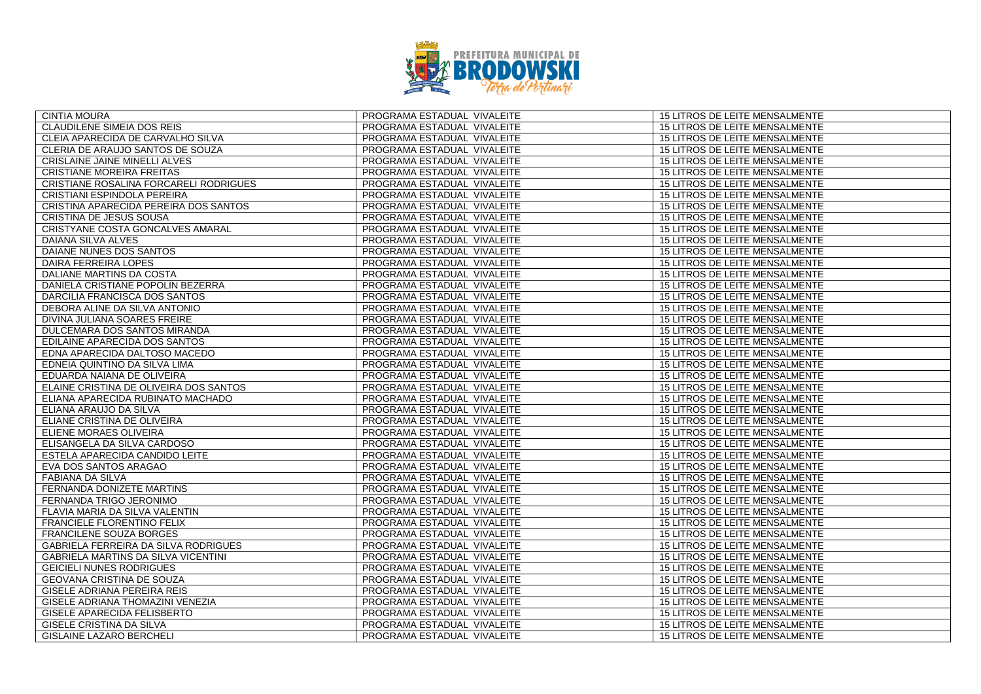

| <b>CINTIA MOURA</b>                    | PROGRAMA ESTADUAL VIVALEITE | 15 LITROS DE LEITE MENSALMENTE        |
|----------------------------------------|-----------------------------|---------------------------------------|
| <b>CLAUDILENE SIMEIA DOS REIS</b>      | PROGRAMA ESTADUAL VIVALEITE | <b>15 LITROS DE LEITE MENSALMENTE</b> |
| CLEIA APARECIDA DE CARVALHO SILVA      | PROGRAMA ESTADUAL VIVALEITE | 15 LITROS DE LEITE MENSALMENTE        |
| CLERIA DE ARAUJO SANTOS DE SOUZA       | PROGRAMA ESTADUAL VIVALEITE | 15 LITROS DE LEITE MENSALMENTE        |
| CRISLAINE JAINE MINELLI ALVES          | PROGRAMA ESTADUAL VIVALEITE | 15 LITROS DE LEITE MENSALMENTE        |
| <b>CRISTIANE MOREIRA FREITAS</b>       | PROGRAMA ESTADUAL VIVALEITE | 15 LITROS DE LEITE MENSALMENTE        |
| CRISTIANE ROSALINA FORCARELI RODRIGUES | PROGRAMA ESTADUAL VIVALEITE | 15 LITROS DE LEITE MENSALMENTE        |
| CRISTIANI ESPINDOLA PEREIRA            | PROGRAMA ESTADUAL VIVALEITE | 15 LITROS DE LEITE MENSALMENTE        |
| CRISTINA APARECIDA PEREIRA DOS SANTOS  | PROGRAMA ESTADUAL VIVALEITE | 15 LITROS DE LEITE MENSALMENTE        |
| CRISTINA DE JESUS SOUSA                | PROGRAMA ESTADUAL VIVALEITE | 15 LITROS DE LEITE MENSALMENTE        |
| CRISTYANE COSTA GONCALVES AMARAL       | PROGRAMA ESTADUAL VIVALEITE | <b>15 LITROS DE LEITE MENSALMENTE</b> |
| <b>DAIANA SILVA ALVES</b>              | PROGRAMA ESTADUAL VIVALEITE | 15 LITROS DE LEITE MENSALMENTE        |
| DAIANE NUNES DOS SANTOS                | PROGRAMA ESTADUAL VIVALEITE | 15 LITROS DE LEITE MENSALMENTE        |
| <b>DAIRA FERREIRA LOPES</b>            | PROGRAMA ESTADUAL VIVALEITE | <b>15 LITROS DE LEITE MENSALMENTE</b> |
| DALIANE MARTINS DA COSTA               | PROGRAMA ESTADUAL VIVALEITE | 15 LITROS DE LEITE MENSALMENTE        |
| DANIELA CRISTIANE POPOLIN BEZERRA      | PROGRAMA ESTADUAL VIVALEITE | 15 LITROS DE LEITE MENSALMENTE        |
| DARCILIA FRANCISCA DOS SANTOS          | PROGRAMA ESTADUAL VIVALEITE | 15 LITROS DE LEITE MENSALMENTE        |
| DEBORA ALINE DA SILVA ANTONIO          | PROGRAMA ESTADUAL VIVALEITE | 15 LITROS DE LEITE MENSALMENTE        |
| DIVINA JULIANA SOARES FREIRE           | PROGRAMA ESTADUAL VIVALEITE | 15 LITROS DE LEITE MENSALMENTE        |
| DULCEMARA DOS SANTOS MIRANDA           | PROGRAMA ESTADUAL VIVALEITE | 15 LITROS DE LEITE MENSALMENTE        |
| EDILAINE APARECIDA DOS SANTOS          | PROGRAMA ESTADUAL VIVALEITE | 15 LITROS DE LEITE MENSALMENTE        |
| EDNA APARECIDA DALTOSO MACEDO          | PROGRAMA ESTADUAL VIVALEITE | 15 LITROS DE LEITE MENSALMENTE        |
| EDNEIA QUINTINO DA SILVA LIMA          | PROGRAMA ESTADUAL VIVALEITE | 15 LITROS DE LEITE MENSALMENTE        |
| EDUARDA NAIANA DE OLIVEIRA             | PROGRAMA ESTADUAL VIVALEITE | 15 LITROS DE LEITE MENSALMENTE        |
| ELAINE CRISTINA DE OLIVEIRA DOS SANTOS | PROGRAMA ESTADUAL VIVALEITE | 15 LITROS DE LEITE MENSALMENTE        |
| ELIANA APARECIDA RUBINATO MACHADO      | PROGRAMA ESTADUAL VIVALEITE | 15 LITROS DE LEITE MENSALMENTE        |
| ELIANA ARAUJO DA SILVA                 | PROGRAMA ESTADUAL VIVALEITE | 15 LITROS DE LEITE MENSALMENTE        |
| ELIANE CRISTINA DE OLIVEIRA            | PROGRAMA ESTADUAL VIVALEITE | 15 LITROS DE LEITE MENSALMENTE        |
| ELIENE MORAES OLIVEIRA                 | PROGRAMA ESTADUAL VIVALEITE | 15 LITROS DE LEITE MENSALMENTE        |
| ELISANGELA DA SILVA CARDOSO            | PROGRAMA ESTADUAL VIVALEITE | 15 LITROS DE LEITE MENSALMENTE        |
| ESTELA APARECIDA CANDIDO LEITE         | PROGRAMA ESTADUAL VIVALEITE | 15 LITROS DE LEITE MENSALMENTE        |
| EVA DOS SANTOS ARAGAO                  | PROGRAMA ESTADUAL VIVALEITE | 15 LITROS DE LEITE MENSALMENTE        |
| <b>FABIANA DA SILVA</b>                | PROGRAMA ESTADUAL VIVALEITE | <b>15 LITROS DE LEITE MENSALMENTE</b> |
| FERNANDA DONIZETE MARTINS              | PROGRAMA ESTADUAL VIVALEITE | 15 LITROS DE LEITE MENSALMENTE        |
| FERNANDA TRIGO JERONIMO                | PROGRAMA ESTADUAL VIVALEITE | 15 LITROS DE LEITE MENSALMENTE        |
| FLAVIA MARIA DA SILVA VALENTIN         | PROGRAMA ESTADUAL VIVALEITE | 15 LITROS DE LEITE MENSALMENTE        |
| FRANCIELE FLORENTINO FELIX             | PROGRAMA ESTADUAL VIVALEITE | 15 LITROS DE LEITE MENSALMENTE        |
| <b>FRANCILENE SOUZA BORGES</b>         | PROGRAMA ESTADUAL VIVALEITE | 15 LITROS DE LEITE MENSALMENTE        |
| GABRIELA FERREIRA DA SILVA RODRIGUES   | PROGRAMA ESTADUAL VIVALEITE | 15 LITROS DE LEITE MENSALMENTE        |
| GABRIELA MARTINS DA SILVA VICENTINI    | PROGRAMA ESTADUAL VIVALEITE | 15 LITROS DE LEITE MENSALMENTE        |
| <b>GEICIELI NUNES RODRIGUES</b>        | PROGRAMA ESTADUAL VIVALEITE | 15 LITROS DE LEITE MENSALMENTE        |
| <b>GEOVANA CRISTINA DE SOUZA</b>       | PROGRAMA ESTADUAL VIVALEITE | 15 LITROS DE LEITE MENSALMENTE        |
| GISELE ADRIANA PEREIRA REIS            | PROGRAMA ESTADUAL VIVALEITE | 15 LITROS DE LEITE MENSALMENTE        |
| GISELE ADRIANA THOMAZINI VENEZIA       | PROGRAMA ESTADUAL VIVALEITE | 15 LITROS DE LEITE MENSALMENTE        |
| GISELE APARECIDA FELISBERTO            | PROGRAMA ESTADUAL VIVALEITE | 15 LITROS DE LEITE MENSALMENTE        |
| GISELE CRISTINA DA SILVA               | PROGRAMA ESTADUAL VIVALEITE | 15 LITROS DE LEITE MENSALMENTE        |
| GISLAINE LAZARO BERCHELI               | PROGRAMA ESTADUAL VIVALEITE | 15 LITROS DE LEITE MENSALMENTE        |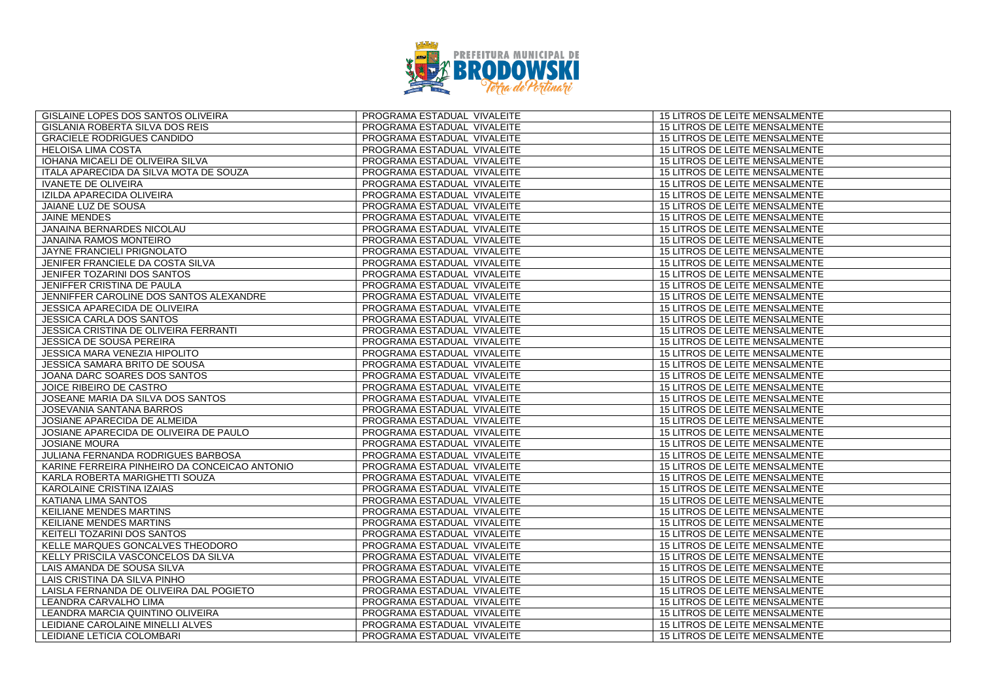

| GISLAINE LOPES DOS SANTOS OLIVEIRA            | PROGRAMA ESTADUAL VIVALEITE | 15 LITROS DE LEITE MENSALMENTE        |
|-----------------------------------------------|-----------------------------|---------------------------------------|
| GISLANIA ROBERTA SILVA DOS REIS               | PROGRAMA ESTADUAL VIVALEITE | 15 LITROS DE LEITE MENSALMENTE        |
| <b>GRACIELE RODRIGUES CANDIDO</b>             | PROGRAMA ESTADUAL VIVALEITE | 15 LITROS DE LEITE MENSALMENTE        |
| <b>HELOISA LIMA COSTA</b>                     | PROGRAMA ESTADUAL VIVALEITE | 15 LITROS DE LEITE MENSALMENTE        |
| IOHANA MICAELI DE OLIVEIRA SILVA              | PROGRAMA ESTADUAL VIVALEITE | 15 LITROS DE LEITE MENSALMENTE        |
| ITALA APARECIDA DA SILVA MOTA DE SOUZA        | PROGRAMA ESTADUAL VIVALEITE | 15 LITROS DE LEITE MENSALMENTE        |
| <b>IVANETE DE OLIVEIRA</b>                    | PROGRAMA ESTADUAL VIVALEITE | <b>15 LITROS DE LEITE MENSALMENTE</b> |
| IZILDA APARECIDA OLIVEIRA                     | PROGRAMA ESTADUAL VIVALEITE | 15 LITROS DE LEITE MENSALMENTE        |
| <b>JAIANE LUZ DE SOUSA</b>                    | PROGRAMA ESTADUAL VIVALEITE | 15 LITROS DE LEITE MENSALMENTE        |
| <b>JAINE MENDES</b>                           | PROGRAMA ESTADUAL VIVALEITE | 15 LITROS DE LEITE MENSALMENTE        |
| JANAINA BERNARDES NICOLAU                     | PROGRAMA ESTADUAL VIVALEITE | 15 LITROS DE LEITE MENSALMENTE        |
| <b>JANAINA RAMOS MONTEIRO</b>                 | PROGRAMA ESTADUAL VIVALEITE | <b>15 LITROS DE LEITE MENSALMENTE</b> |
| JAYNE FRANCIELI PRIGNOLATO                    | PROGRAMA ESTADUAL VIVALEITE | 15 LITROS DE LEITE MENSALMENTE        |
| JENIFER FRANCIELE DA COSTA SILVA              | PROGRAMA ESTADUAL VIVALEITE | 15 LITROS DE LEITE MENSALMENTE        |
| JENIFER TOZARINI DOS SANTOS                   | PROGRAMA ESTADUAL VIVALEITE | 15 LITROS DE LEITE MENSALMENTE        |
| JENIFFER CRISTINA DE PAULA                    | PROGRAMA ESTADUAL VIVALEITE | 15 LITROS DE LEITE MENSALMENTE        |
| JENNIFFER CAROLINE DOS SANTOS ALEXANDRE       | PROGRAMA ESTADUAL VIVALEITE | <b>15 LITROS DE LEITE MENSALMENTE</b> |
| <b>JESSICA APARECIDA DE OLIVEIRA</b>          | PROGRAMA ESTADUAL VIVALEITE | 15 LITROS DE LEITE MENSALMENTE        |
| <b>JESSICA CARLA DOS SANTOS</b>               | PROGRAMA ESTADUAL VIVALEITE | 15 LITROS DE LEITE MENSALMENTE        |
| JESSICA CRISTINA DE OLIVEIRA FERRANTI         | PROGRAMA ESTADUAL VIVALEITE | 15 LITROS DE LEITE MENSALMENTE        |
| JESSICA DE SOUSA PEREIRA                      | PROGRAMA ESTADUAL VIVALEITE | 15 LITROS DE LEITE MENSALMENTE        |
| JESSICA MARA VENEZIA HIPOLITO                 | PROGRAMA ESTADUAL VIVALEITE | 15 LITROS DE LEITE MENSALMENTE        |
| JESSICA SAMARA BRITO DE SOUSA                 | PROGRAMA ESTADUAL VIVALEITE | 15 LITROS DE LEITE MENSALMENTE        |
| JOANA DARC SOARES DOS SANTOS                  | PROGRAMA ESTADUAL VIVALEITE | 15 LITROS DE LEITE MENSALMENTE        |
| JOICE RIBEIRO DE CASTRO                       | PROGRAMA ESTADUAL VIVALEITE | 15 LITROS DE LEITE MENSALMENTE        |
| JOSEANE MARIA DA SILVA DOS SANTOS             | PROGRAMA ESTADUAL VIVALEITE | 15 LITROS DE LEITE MENSALMENTE        |
| JOSEVANIA SANTANA BARROS                      | PROGRAMA ESTADUAL VIVALEITE | 15 LITROS DE LEITE MENSALMENTE        |
| JOSIANE APARECIDA DE ALMEIDA                  | PROGRAMA ESTADUAL VIVALEITE | 15 LITROS DE LEITE MENSALMENTE        |
| JOSIANE APARECIDA DE OLIVEIRA DE PAULO        | PROGRAMA ESTADUAL VIVALEITE | 15 LITROS DE LEITE MENSALMENTE        |
| <b>JOSIANE MOURA</b>                          | PROGRAMA ESTADUAL VIVALEITE | 15 LITROS DE LEITE MENSALMENTE        |
| JULIANA FERNANDA RODRIGUES BARBOSA            | PROGRAMA ESTADUAL VIVALEITE | 15 LITROS DE LEITE MENSALMENTE        |
| KARINE FERREIRA PINHEIRO DA CONCEICAO ANTONIO | PROGRAMA ESTADUAL VIVALEITE | 15 LITROS DE LEITE MENSALMENTE        |
| KARLA ROBERTA MARIGHETTI SOUZA                | PROGRAMA ESTADUAL VIVALEITE | 15 LITROS DE LEITE MENSALMENTE        |
| <b>KAROLAINE CRISTINA IZAIAS</b>              | PROGRAMA ESTADUAL VIVALEITE | <b>15 LITROS DE LEITE MENSALMENTE</b> |
| <b>KATIANA LIMA SANTOS</b>                    | PROGRAMA ESTADUAL VIVALEITE | 15 LITROS DE LEITE MENSALMENTE        |
| <b>KEILIANE MENDES MARTINS</b>                | PROGRAMA ESTADUAL VIVALEITE | 15 LITROS DE LEITE MENSALMENTE        |
| KEILIANE MENDES MARTINS                       | PROGRAMA ESTADUAL VIVALEITE | 15 LITROS DE LEITE MENSALMENTE        |
| KEITELI TOZARINI DOS SANTOS                   | PROGRAMA ESTADUAL VIVALEITE | 15 LITROS DE LEITE MENSALMENTE        |
| KELLE MARQUES GONCALVES THEODORO              | PROGRAMA ESTADUAL VIVALEITE | 15 LITROS DE LEITE MENSALMENTE        |
| KELLY PRISCILA VASCONCELOS DA SILVA           | PROGRAMA ESTADUAL VIVALEITE | 15 LITROS DE LEITE MENSALMENTE        |
| LAIS AMANDA DE SOUSA SILVA                    | PROGRAMA ESTADUAL VIVALEITE | 15 LITROS DE LEITE MENSALMENTE        |
| LAIS CRISTINA DA SILVA PINHO                  | PROGRAMA ESTADUAL VIVALEITE | 15 LITROS DE LEITE MENSALMENTE        |
| LAISLA FERNANDA DE OLIVEIRA DAL POGIETO       | PROGRAMA ESTADUAL VIVALEITE | 15 LITROS DE LEITE MENSALMENTE        |
| LEANDRA CARVALHO LIMA                         | PROGRAMA ESTADUAL VIVALEITE | 15 LITROS DE LEITE MENSALMENTE        |
| LEANDRA MARCIA QUINTINO OLIVEIRA              | PROGRAMA ESTADUAL VIVALEITE | 15 LITROS DE LEITE MENSALMENTE        |
| LEIDIANE CAROLAINE MINELLI ALVES              | PROGRAMA ESTADUAL VIVALEITE | 15 LITROS DE LEITE MENSALMENTE        |
| LEIDIANE LETICIA COLOMBARI                    | PROGRAMA ESTADUAL VIVALEITE | 15 LITROS DE LEITE MENSALMENTE        |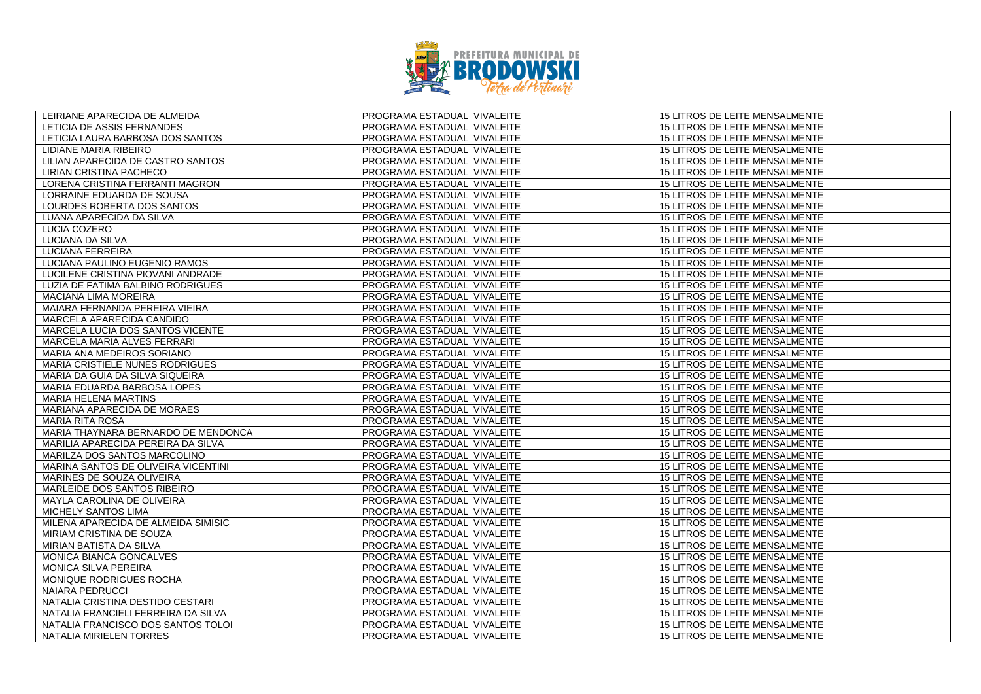

| LEIRIANE APARECIDA DE ALMEIDA       | PROGRAMA ESTADUAL VIVALEITE | 15 LITROS DE LEITE MENSALMENTE        |
|-------------------------------------|-----------------------------|---------------------------------------|
| LETICIA DE ASSIS FERNANDES          | PROGRAMA ESTADUAL VIVALEITE | 15 LITROS DE LEITE MENSALMENTE        |
| LETICIA LAURA BARBOSA DOS SANTOS    | PROGRAMA ESTADUAL VIVALEITE | 15 LITROS DE LEITE MENSALMENTE        |
| LIDIANE MARIA RIBEIRO               | PROGRAMA ESTADUAL VIVALEITE | <b>15 LITROS DE LEITE MENSALMENTE</b> |
| LILIAN APARECIDA DE CASTRO SANTOS   | PROGRAMA ESTADUAL VIVALEITE | 15 LITROS DE LEITE MENSALMENTE        |
| LIRIAN CRISTINA PACHECO             | PROGRAMA ESTADUAL VIVALEITE | 15 LITROS DE LEITE MENSALMENTE        |
| LORENA CRISTINA FERRANTI MAGRON     | PROGRAMA ESTADUAL VIVALEITE | <b>15 LITROS DE LEITE MENSALMENTE</b> |
| LORRAINE EDUARDA DE SOUSA           | PROGRAMA ESTADUAL VIVALEITE | 15 LITROS DE LEITE MENSALMENTE        |
| LOURDES ROBERTA DOS SANTOS          | PROGRAMA ESTADUAL VIVALEITE | 15 LITROS DE LEITE MENSALMENTE        |
| LUANA APARECIDA DA SILVA            | PROGRAMA ESTADUAL VIVALEITE | 15 LITROS DE LEITE MENSALMENTE        |
| LUCIA COZERO                        | PROGRAMA ESTADUAL VIVALEITE | 15 LITROS DE LEITE MENSALMENTE        |
| LUCIANA DA SILVA                    | PROGRAMA ESTADUAL VIVALEITE | <b>15 LITROS DE LEITE MENSALMENTE</b> |
| <b>LUCIANA FERREIRA</b>             | PROGRAMA ESTADUAL VIVALEITE | 15 LITROS DE LEITE MENSALMENTE        |
| LUCIANA PAULINO EUGENIO RAMOS       | PROGRAMA ESTADUAL VIVALEITE | 15 LITROS DE LEITE MENSALMENTE        |
| LUCILENE CRISTINA PIOVANI ANDRADE   | PROGRAMA ESTADUAL VIVALEITE | 15 LITROS DE LEITE MENSALMENTE        |
| LUZIA DE FATIMA BALBINO RODRIGUES   | PROGRAMA ESTADUAL VIVALEITE | 15 LITROS DE LEITE MENSALMENTE        |
| <b>MACIANA LIMA MOREIRA</b>         | PROGRAMA ESTADUAL VIVALEITE | <b>15 LITROS DE LEITE MENSALMENTE</b> |
| MAIARA FERNANDA PEREIRA VIEIRA      | PROGRAMA ESTADUAL VIVALEITE | 15 LITROS DE LEITE MENSALMENTE        |
| MARCELA APARECIDA CANDIDO           | PROGRAMA ESTADUAL VIVALEITE | 15 LITROS DE LEITE MENSALMENTE        |
| MARCELA LUCIA DOS SANTOS VICENTE    | PROGRAMA ESTADUAL VIVALEITE | 15 LITROS DE LEITE MENSALMENTE        |
| MARCELA MARIA ALVES FERRARI         | PROGRAMA ESTADUAL VIVALEITE | 15 LITROS DE LEITE MENSALMENTE        |
| MARIA ANA MEDEIROS SORIANO          | PROGRAMA ESTADUAL VIVALEITE | 15 LITROS DE LEITE MENSALMENTE        |
| MARIA CRISTIELE NUNES RODRIGUES     | PROGRAMA ESTADUAL VIVALEITE | 15 LITROS DE LEITE MENSALMENTE        |
| MARIA DA GUIA DA SILVA SIQUEIRA     | PROGRAMA ESTADUAL VIVALEITE | 15 LITROS DE LEITE MENSALMENTE        |
| MARIA EDUARDA BARBOSA LOPES         | PROGRAMA ESTADUAL VIVALEITE | 15 LITROS DE LEITE MENSALMENTE        |
| <b>MARIA HELENA MARTINS</b>         | PROGRAMA ESTADUAL VIVALEITE | 15 LITROS DE LEITE MENSALMENTE        |
| MARIANA APARECIDA DE MORAES         | PROGRAMA ESTADUAL VIVALEITE | 15 LITROS DE LEITE MENSALMENTE        |
| <b>MARIA RITA ROSA</b>              | PROGRAMA ESTADUAL VIVALEITE | 15 LITROS DE LEITE MENSALMENTE        |
| MARIA THAYNARA BERNARDO DE MENDONCA | PROGRAMA ESTADUAL VIVALEITE | 15 LITROS DE LEITE MENSALMENTE        |
| MARILIA APARECIDA PEREIRA DA SILVA  | PROGRAMA ESTADUAL VIVALEITE | 15 LITROS DE LEITE MENSALMENTE        |
| MARILZA DOS SANTOS MARCOLINO        | PROGRAMA ESTADUAL VIVALEITE | 15 LITROS DE LEITE MENSALMENTE        |
| MARINA SANTOS DE OLIVEIRA VICENTINI | PROGRAMA ESTADUAL VIVALEITE | 15 LITROS DE LEITE MENSALMENTE        |
| MARINES DE SOUZA OLIVEIRA           | PROGRAMA ESTADUAL VIVALEITE | 15 LITROS DE LEITE MENSALMENTE        |
| MARLEIDE DOS SANTOS RIBEIRO         | PROGRAMA ESTADUAL VIVALEITE | <b>15 LITROS DE LEITE MENSALMENTE</b> |
| MAYLA CAROLINA DE OLIVEIRA          | PROGRAMA ESTADUAL VIVALEITE | 15 LITROS DE LEITE MENSALMENTE        |
| MICHELY SANTOS LIMA                 | PROGRAMA ESTADUAL VIVALEITE | 15 LITROS DE LEITE MENSALMENTE        |
| MILENA APARECIDA DE ALMEIDA SIMISIC | PROGRAMA ESTADUAL VIVALEITE | 15 LITROS DE LEITE MENSALMENTE        |
| MIRIAM CRISTINA DE SOUZA            | PROGRAMA ESTADUAL VIVALEITE | 15 LITROS DE LEITE MENSALMENTE        |
| MIRIAN BATISTA DA SILVA             | PROGRAMA ESTADUAL VIVALEITE | 15 LITROS DE LEITE MENSALMENTE        |
| MONICA BIANCA GONCALVES             | PROGRAMA ESTADUAL VIVALEITE | 15 LITROS DE LEITE MENSALMENTE        |
| MONICA SILVA PEREIRA                | PROGRAMA ESTADUAL VIVALEITE | 15 LITROS DE LEITE MENSALMENTE        |
| MONIQUE RODRIGUES ROCHA             | PROGRAMA ESTADUAL VIVALEITE | 15 LITROS DE LEITE MENSALMENTE        |
| <b>NAIARA PEDRUCCI</b>              | PROGRAMA ESTADUAL VIVALEITE | 15 LITROS DE LEITE MENSALMENTE        |
| NATALIA CRISTINA DESTIDO CESTARI    | PROGRAMA ESTADUAL VIVALEITE | 15 LITROS DE LEITE MENSALMENTE        |
| NATALIA FRANCIELI FERREIRA DA SILVA | PROGRAMA ESTADUAL VIVALEITE | 15 LITROS DE LEITE MENSALMENTE        |
| NATALIA FRANCISCO DOS SANTOS TOLOI  | PROGRAMA ESTADUAL VIVALEITE | 15 LITROS DE LEITE MENSALMENTE        |
| NATALIA MIRIELEN TORRES             | PROGRAMA ESTADUAL VIVALEITE | 15 LITROS DE LEITE MENSALMENTE        |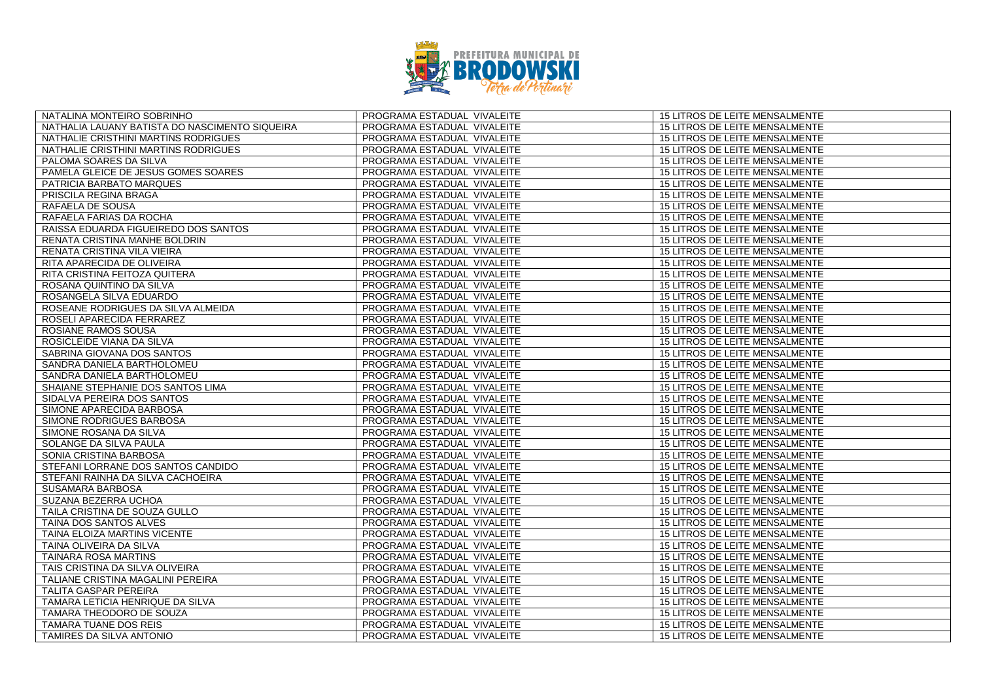

| NATALINA MONTEIRO SOBRINHO                     | PROGRAMA ESTADUAL VIVALEITE | 15 LITROS DE LEITE MENSALMENTE        |
|------------------------------------------------|-----------------------------|---------------------------------------|
| NATHALIA LAUANY BATISTA DO NASCIMENTO SIQUEIRA | PROGRAMA ESTADUAL VIVALEITE | 15 LITROS DE LEITE MENSALMENTE        |
| NATHALIE CRISTHINI MARTINS RODRIGUES           | PROGRAMA ESTADUAL VIVALEITE | 15 LITROS DE LEITE MENSALMENTE        |
| NATHALIE CRISTHINI MARTINS RODRIGUES           | PROGRAMA ESTADUAL VIVALEITE | <b>15 LITROS DE LEITE MENSALMENTE</b> |
| PALOMA SOARES DA SILVA                         | PROGRAMA ESTADUAL VIVALEITE | 15 LITROS DE LEITE MENSALMENTE        |
| PAMELA GLEICE DE JESUS GOMES SOARES            | PROGRAMA ESTADUAL VIVALEITE | 15 LITROS DE LEITE MENSALMENTE        |
| PATRICIA BARBATO MARQUES                       | PROGRAMA ESTADUAL VIVALEITE | <b>15 LITROS DE LEITE MENSALMENTE</b> |
| PRISCILA REGINA BRAGA                          | PROGRAMA ESTADUAL VIVALEITE | 15 LITROS DE LEITE MENSALMENTE        |
| RAFAELA DE SOUSA                               | PROGRAMA ESTADUAL VIVALEITE | 15 LITROS DE LEITE MENSALMENTE        |
| RAFAELA FARIAS DA ROCHA                        | PROGRAMA ESTADUAL VIVALEITE | 15 LITROS DE LEITE MENSALMENTE        |
| RAISSA EDUARDA FIGUEIREDO DOS SANTOS           | PROGRAMA ESTADUAL VIVALEITE | 15 LITROS DE LEITE MENSALMENTE        |
| RENATA CRISTINA MANHE BOLDRIN                  | PROGRAMA ESTADUAL VIVALEITE | <b>15 LITROS DE LEITE MENSALMENTE</b> |
| RENATA CRISTINA VILA VIEIRA                    | PROGRAMA ESTADUAL VIVALEITE | 15 LITROS DE LEITE MENSALMENTE        |
| RITA APARECIDA DE OLIVEIRA                     | PROGRAMA ESTADUAL VIVALEITE | 15 LITROS DE LEITE MENSALMENTE        |
| RITA CRISTINA FEITOZA QUITERA                  | PROGRAMA ESTADUAL VIVALEITE | 15 LITROS DE LEITE MENSALMENTE        |
| ROSANA QUINTINO DA SILVA                       | PROGRAMA ESTADUAL VIVALEITE | 15 LITROS DE LEITE MENSALMENTE        |
| ROSANGELA SILVA EDUARDO                        | PROGRAMA ESTADUAL VIVALEITE | <b>15 LITROS DE LEITE MENSALMENTE</b> |
| ROSEANE RODRIGUES DA SILVA ALMEIDA             | PROGRAMA ESTADUAL VIVALEITE | 15 LITROS DE LEITE MENSALMENTE        |
| ROSELI APARECIDA FERRAREZ                      | PROGRAMA ESTADUAL VIVALEITE | 15 LITROS DE LEITE MENSALMENTE        |
| ROSIANE RAMOS SOUSA                            | PROGRAMA ESTADUAL VIVALEITE | 15 LITROS DE LEITE MENSALMENTE        |
| ROSICLEIDE VIANA DA SILVA                      | PROGRAMA ESTADUAL VIVALEITE | 15 LITROS DE LEITE MENSALMENTE        |
| SABRINA GIOVANA DOS SANTOS                     | PROGRAMA ESTADUAL VIVALEITE | 15 LITROS DE LEITE MENSALMENTE        |
| SANDRA DANIELA BARTHOLOMEU                     | PROGRAMA ESTADUAL VIVALEITE | 15 LITROS DE LEITE MENSALMENTE        |
| SANDRA DANIELA BARTHOLOMEU                     | PROGRAMA ESTADUAL VIVALEITE | 15 LITROS DE LEITE MENSALMENTE        |
| SHAIANE STEPHANIE DOS SANTOS LIMA              | PROGRAMA ESTADUAL VIVALEITE | 15 LITROS DE LEITE MENSALMENTE        |
| SIDALVA PEREIRA DOS SANTOS                     | PROGRAMA ESTADUAL VIVALEITE | 15 LITROS DE LEITE MENSALMENTE        |
| SIMONE APARECIDA BARBOSA                       | PROGRAMA ESTADUAL VIVALEITE | 15 LITROS DE LEITE MENSALMENTE        |
| SIMONE RODRIGUES BARBOSA                       | PROGRAMA ESTADUAL VIVALEITE | 15 LITROS DE LEITE MENSALMENTE        |
| SIMONE ROSANA DA SILVA                         | PROGRAMA ESTADUAL VIVALEITE | 15 LITROS DE LEITE MENSALMENTE        |
| SOLANGE DA SILVA PAULA                         | PROGRAMA ESTADUAL VIVALEITE | 15 LITROS DE LEITE MENSALMENTE        |
| SONIA CRISTINA BARBOSA                         | PROGRAMA ESTADUAL VIVALEITE | 15 LITROS DE LEITE MENSALMENTE        |
| STEFANI LORRANE DOS SANTOS CANDIDO             | PROGRAMA ESTADUAL VIVALEITE | 15 LITROS DE LEITE MENSALMENTE        |
| STEFANI RAINHA DA SILVA CACHOEIRA              | PROGRAMA ESTADUAL VIVALEITE | 15 LITROS DE LEITE MENSALMENTE        |
| SUSAMARA BARBOSA                               | PROGRAMA ESTADUAL VIVALEITE | <b>15 LITROS DE LEITE MENSALMENTE</b> |
| SUZANA BEZERRA UCHOA                           | PROGRAMA ESTADUAL VIVALEITE | 15 LITROS DE LEITE MENSALMENTE        |
| TAILA CRISTINA DE SOUZA GULLO                  | PROGRAMA ESTADUAL VIVALEITE | 15 LITROS DE LEITE MENSALMENTE        |
| TAINA DOS SANTOS ALVES                         | PROGRAMA ESTADUAL VIVALEITE | 15 LITROS DE LEITE MENSALMENTE        |
| TAINA ELOIZA MARTINS VICENTE                   | PROGRAMA ESTADUAL VIVALEITE | 15 LITROS DE LEITE MENSALMENTE        |
| TAINA OLIVEIRA DA SILVA                        | PROGRAMA ESTADUAL VIVALEITE | 15 LITROS DE LEITE MENSALMENTE        |
| <b>TAINARA ROSA MARTINS</b>                    | PROGRAMA ESTADUAL VIVALEITE | 15 LITROS DE LEITE MENSALMENTE        |
| TAIS CRISTINA DA SILVA OLIVEIRA                | PROGRAMA ESTADUAL VIVALEITE | 15 LITROS DE LEITE MENSALMENTE        |
| TALIANE CRISTINA MAGALINI PEREIRA              | PROGRAMA ESTADUAL VIVALEITE | 15 LITROS DE LEITE MENSALMENTE        |
| TALITA GASPAR PEREIRA                          | PROGRAMA ESTADUAL VIVALEITE | 15 LITROS DE LEITE MENSALMENTE        |
| TAMARA LETICIA HENRIQUE DA SILVA               | PROGRAMA ESTADUAL VIVALEITE | 15 LITROS DE LEITE MENSALMENTE        |
| TAMARA THEODORO DE SOUZA                       | PROGRAMA ESTADUAL VIVALEITE | 15 LITROS DE LEITE MENSALMENTE        |
| TAMARA TUANE DOS REIS                          | PROGRAMA ESTADUAL VIVALEITE | 15 LITROS DE LEITE MENSALMENTE        |
| TAMIRES DA SILVA ANTONIO                       | PROGRAMA ESTADUAL VIVALEITE | 15 LITROS DE LEITE MENSALMENTE        |